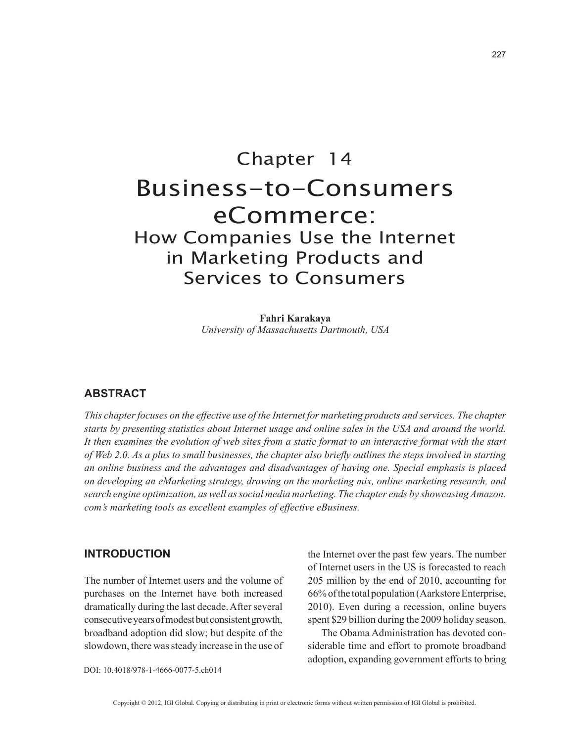# Chapter 14 Business-to-Consumers eCommerce: How Companies Use the Internet in Marketing Products and Services to Consumers

**Fahri Karakaya** *University of Massachusetts Dartmouth, USA*

# **ABSTRACT**

*This chapter focuses on the effective use of the Internet for marketing products and services. The chapter starts by presenting statistics about Internet usage and online sales in the USA and around the world. It then examines the evolution of web sites from a static format to an interactive format with the start of Web 2.0. As a plus to small businesses, the chapter also briefly outlines the steps involved in starting an online business and the advantages and disadvantages of having one. Special emphasis is placed on developing an eMarketing strategy, drawing on the marketing mix, online marketing research, and search engine optimization, as well as social media marketing. The chapter ends by showcasing Amazon. com's marketing tools as excellent examples of effective eBusiness.*

## **INTRODUCTION**

The number of Internet users and the volume of purchases on the Internet have both increased dramatically during the last decade. After several consecutive years of modest but consistent growth, broadband adoption did slow; but despite of the slowdown, there was steady increase in the use of the Internet over the past few years. The number of Internet users in the US is forecasted to reach 205 million by the end of 2010, accounting for 66% of the total population (Aarkstore Enterprise, 2010). Even during a recession, online buyers spent \$29 billion during the 2009 holiday season.

The Obama Administration has devoted considerable time and effort to promote broadband adoption, expanding government efforts to bring

DOI: 10.4018/978-1-4666-0077-5.ch014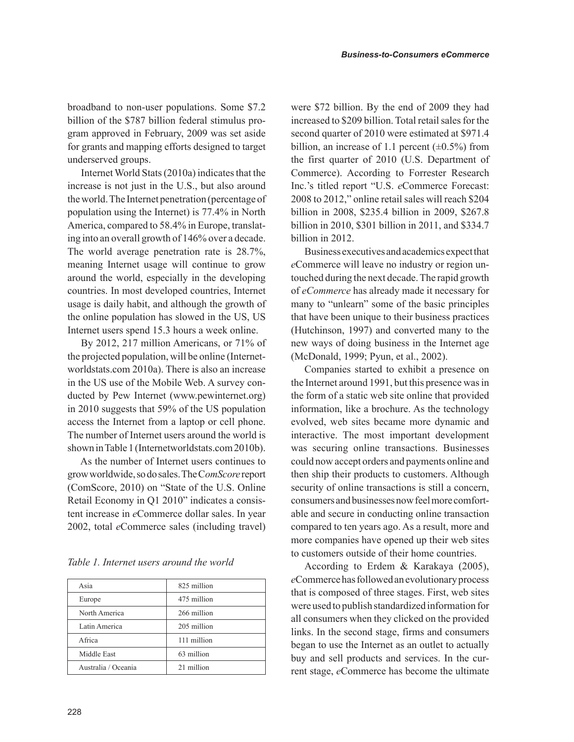broadband to non-user populations. Some \$7.2 billion of the \$787 billion federal stimulus program approved in February, 2009 was set aside for grants and mapping efforts designed to target underserved groups.

Internet World Stats (2010a) indicates that the increase is not just in the U.S., but also around the world. The Internet penetration (percentage of population using the Internet) is 77.4% in North America, compared to 58.4% in Europe, translating into an overall growth of 146% over a decade. The world average penetration rate is 28.7%, meaning Internet usage will continue to grow around the world, especially in the developing countries. In most developed countries, Internet usage is daily habit, and although the growth of the online population has slowed in the US, US Internet users spend 15.3 hours a week online.

By 2012, 217 million Americans, or 71% of the projected population, will be online (Internetworldstats.com 2010a). There is also an increase in the US use of the Mobile Web. A survey conducted by Pew Internet (www.pewinternet.org) in 2010 suggests that 59% of the US population access the Internet from a laptop or cell phone. The number of Internet users around the world is shown in Table 1 (Internetworldstats.com 2010b).

As the number of Internet users continues to grow worldwide, so do sales. The C*omScore* report (ComScore, 2010) on "State of the U.S. Online Retail Economy in Q1 2010" indicates a consistent increase in *e*Commerce dollar sales. In year 2002, total *e*Commerce sales (including travel)

*Table 1. Internet users around the world* 

| Asia                | 825 million |
|---------------------|-------------|
| Europe              | 475 million |
| North America       | 266 million |
| Latin America       | 205 million |
| Africa              | 111 million |
| Middle East         | 63 million  |
| Australia / Oceania | 21 million  |

were \$72 billion. By the end of 2009 they had increased to \$209 billion. Total retail sales for the second quarter of 2010 were estimated at \$971.4 billion, an increase of 1.1 percent  $(\pm 0.5\%)$  from the first quarter of 2010 (U.S. Department of Commerce). According to Forrester Research Inc.'s titled report "U.S. *e*Commerce Forecast: 2008 to 2012," online retail sales will reach \$204 billion in 2008, \$235.4 billion in 2009, \$267.8 billion in 2010, \$301 billion in 2011, and \$334.7 billion in 2012.

Business executives and academics expect that *e*Commerce will leave no industry or region untouched during the next decade. The rapid growth of *eCommerce* has already made it necessary for many to "unlearn" some of the basic principles that have been unique to their business practices (Hutchinson, 1997) and converted many to the new ways of doing business in the Internet age (McDonald, 1999; Pyun, et al., 2002).

Companies started to exhibit a presence on the Internet around 1991, but this presence was in the form of a static web site online that provided information, like a brochure. As the technology evolved, web sites became more dynamic and interactive. The most important development was securing online transactions. Businesses could now accept orders and payments online and then ship their products to customers. Although security of online transactions is still a concern, consumers and businesses now feel more comfortable and secure in conducting online transaction compared to ten years ago. As a result, more and more companies have opened up their web sites to customers outside of their home countries.

According to Erdem & Karakaya (2005), *e*Commerce has followed an evolutionary process that is composed of three stages. First, web sites were used to publish standardized information for all consumers when they clicked on the provided links. In the second stage, firms and consumers began to use the Internet as an outlet to actually buy and sell products and services. In the current stage, *e*Commerce has become the ultimate